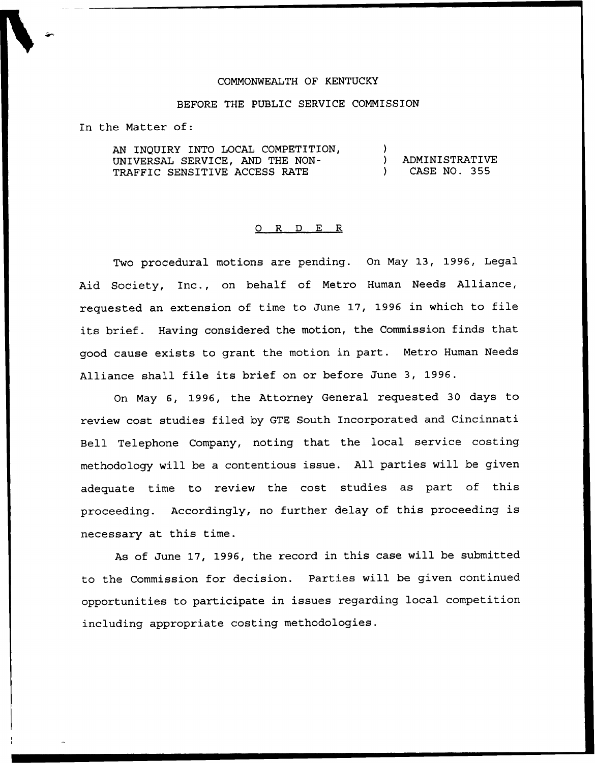## COMMONWEALTH OF KENTUCKY

## BEFORE THE PUBLIC SERVICE COMMISSION

In the Matter of:

AN INQUIRY INTO LOCAL COMPETITION, UNIVERSAL SERVICE, AND THE NON-TRAFFIC SENSITIVE ACCESS RATE ) ) ADMINISTRATIVE<br>) CASE NO. 355 ) CASE NO. 355

## 0 R <sup>D</sup> E R

Two procedural motions are pending. On May 13, 1996, Legal Aid Society, Inc., on behalf of Metro Human Needs Alliance, requested an extension of time to June 17, 1996 in which to file its brief. Having considered the motion, the Commission finds that good cause exists to grant the motion in part. Metro Human Needs Alliance shall file its brief on or before June 3, 1996.

On May 6, 1996, the Attorney General requested 30 days to review cost studies filed by GTE South Incorporated and Cincinnati Bell Telephone Company, noting that the local service costing methodology will be a contentious issue. All parties will be given adequate time to review the cost studies as part of this proceeding. Accordingly, no further delay of this proceeding is necessary at this time.

As of June 17, 1996, the record in this case will be submitted to the Commission for decision. Parties will be given continued opportunities to participate in issues regarding local competition including appropriate costing methodologies.